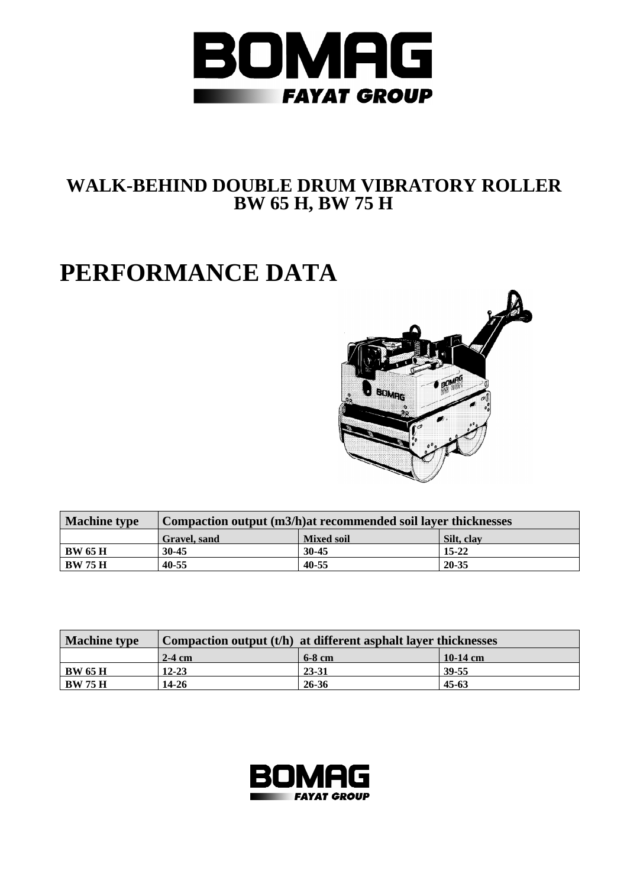

## **WALK-BEHIND DOUBLE DRUM VIBRATORY ROLLER BW 65 H, BW 75 H**

## **PERFORMANCE DATA**



| <b>Machine type</b> | Compaction output (m3/h) at recommended soil layer thicknesses |                   |            |  |  |  |  |  |  |
|---------------------|----------------------------------------------------------------|-------------------|------------|--|--|--|--|--|--|
|                     | <b>Gravel</b> , sand                                           | <b>Mixed soil</b> | Silt. clay |  |  |  |  |  |  |
| <b>BW 65 H</b>      | $30 - 45$                                                      | $30 - 45$         | $15 - 22$  |  |  |  |  |  |  |
| <b>BW 75 H</b>      | 40-55                                                          | 40-55             | $20 - 35$  |  |  |  |  |  |  |

| <b>Machine type</b> | Compaction output $(t/h)$ at different asphalt layer thicknesses |          |            |  |  |  |  |  |  |
|---------------------|------------------------------------------------------------------|----------|------------|--|--|--|--|--|--|
|                     | $2-4$ cm                                                         | $6-8$ cm | $10-14$ cm |  |  |  |  |  |  |
| BW 65 H             | $12 - 23$                                                        | 23-31    | 39-55      |  |  |  |  |  |  |
| <b>BW 75 H</b>      | $14 - 26$                                                        | 26-36    | $45 - 63$  |  |  |  |  |  |  |